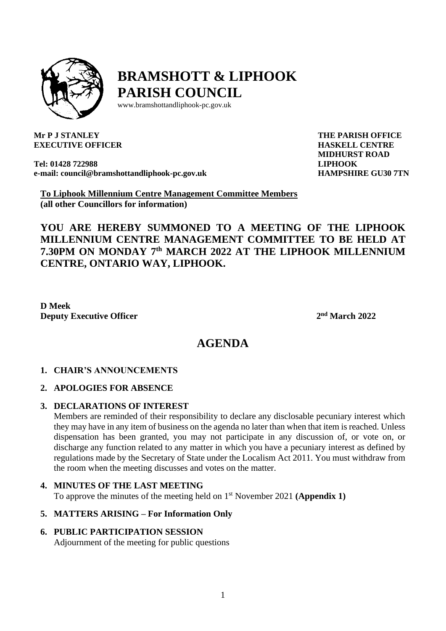

# **BRAMSHOTT & LIPHOOK PARISH COUNCIL**

[www.bramshottandl](http://www.bramshottand/)iphook-pc.gov.uk

**Mr P J STANLEY EXECUTIVE OFFICER**

**Tel: 01428 722988 e-mail: [council@bramshottandliphook-pc.gov.uk](mailto:council@bramshottandliphook-pc.gov.uk)** **THE PARISH OFFICE HASKELL CENTRE MIDHURST ROAD LIPHOOK HAMPSHIRE GU30 7TN**

**To Liphook Millennium Centre Management Committee Members (all other Councillors for information)**

**YOU ARE HEREBY SUMMONED TO A MEETING OF THE LIPHOOK MILLENNIUM CENTRE MANAGEMENT COMMITTEE TO BE HELD AT 7.30PM ON MONDAY 7 th MARCH 2022 AT THE LIPHOOK MILLENNIUM CENTRE, ONTARIO WAY, LIPHOOK.**

**D Meek Deputy Executive Officer 2**

**nd March 2022**

# **AGENDA**

#### **1. CHAIR'S ANNOUNCEMENTS**

## **2. APOLOGIES FOR ABSENCE**

#### **3. DECLARATIONS OF INTEREST**

Members are reminded of their responsibility to declare any disclosable pecuniary interest which they may have in any item of business on the agenda no later than when that item is reached. Unless dispensation has been granted, you may not participate in any discussion of, or vote on, or discharge any function related to any matter in which you have a pecuniary interest as defined by regulations made by the Secretary of State under the Localism Act 2011. You must withdraw from the room when the meeting discusses and votes on the matter.

#### **4. MINUTES OF THE LAST MEETING**

To approve the minutes of the meeting held on 1 st November 2021 **(Appendix 1)**

#### **5. MATTERS ARISING – For Information Only**

## **6. PUBLIC PARTICIPATION SESSION**

Adjournment of the meeting for public questions